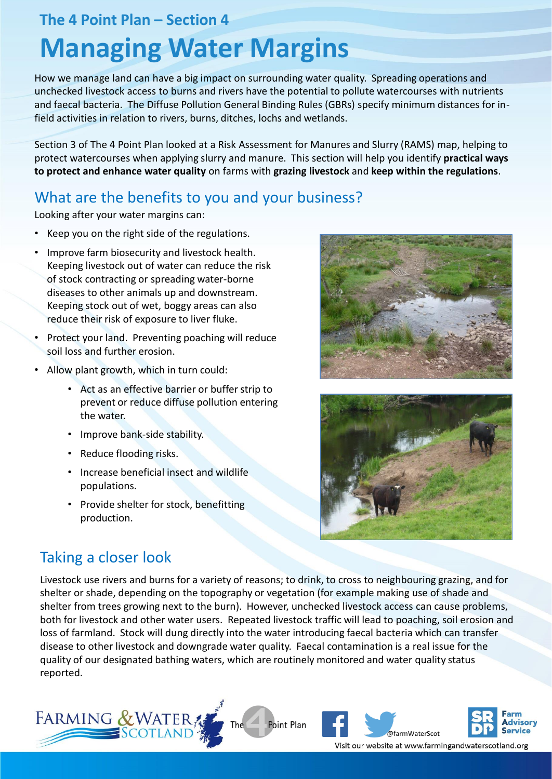## **The 4 Point Plan – Section 4**

# **Managing Water Margins**

How we manage land can have a big impact on surrounding water quality. Spreading operations and unchecked livestock access to burns and rivers have the potential to pollute watercourses with nutrients and faecal bacteria. The Diffuse Pollution General Binding Rules (GBRs) specify minimum distances for infield activities in relation to rivers, burns, ditches, lochs and wetlands.

Section 3 of The 4 Point Plan looked at a Risk Assessment for Manures and Slurry (RAMS) map, helping to protect watercourses when applying slurry and manure. This section will help you identify **practical ways to protect and enhance water quality** on farms with **grazing livestock** and **keep within the regulations**.

## What are the benefits to you and your business?

Looking after your water margins can:

- Keep you on the right side of the regulations.
- Improve farm biosecurity and livestock health. Keeping livestock out of water can reduce the risk of stock contracting or spreading water-borne diseases to other animals up and downstream. Keeping stock out of wet, boggy areas can also reduce their risk of exposure to liver fluke.
- Protect your land. Preventing poaching will reduce soil loss and further erosion.
- Allow plant growth, which in turn could:
	- Act as an effective barrier or buffer strip to prevent or reduce diffuse pollution entering the water.
	- Improve bank-side stability.
	- Reduce flooding risks.
	- Increase beneficial insect and wildlife populations.
	- Provide shelter for stock, benefitting production.





# Taking a closer look

Livestock use rivers and burns for a variety of reasons; to drink, to cross to neighbouring grazing, and for shelter or shade, depending on the topography or vegetation (for example making use of shade and shelter from trees growing next to the burn). However, unchecked livestock access can cause problems, both for livestock and other water users. Repeated livestock traffic will lead to poaching, soil erosion and loss of farmland. Stock will dung directly into the water introducing faecal bacteria which can transfer disease to other livestock and downgrade water quality. Faecal contamination is a real issue for the quality of our designated bathing waters, which are routinely monitored and water quality status reported.





Visit our website at www.farmingandwaterscotland.org

Advisory

**Service**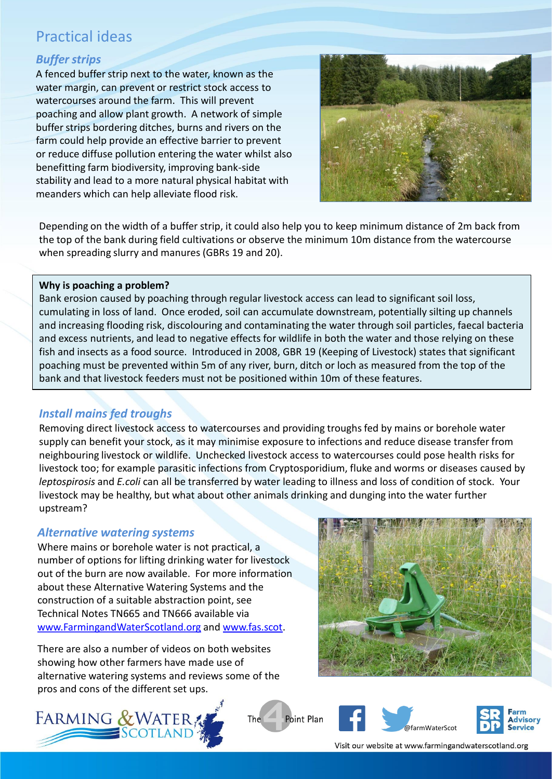## Practical ideas

## *Buffer strips*

A fenced buffer strip next to the water, known as the water margin, can prevent or restrict stock access to watercourses around the farm. This will prevent poaching and allow plant growth. A network of simple buffer strips bordering ditches, burns and rivers on the farm could help provide an effective barrier to prevent or reduce diffuse pollution entering the water whilst also benefitting farm biodiversity, improving bank-side stability and lead to a more natural physical habitat with meanders which can help alleviate flood risk.



Depending on the width of a buffer strip, it could also help you to keep minimum distance of 2m back from the top of the bank during field cultivations or observe the minimum 10m distance from the watercourse when spreading slurry and manures (GBRs 19 and 20).

#### **Why is poaching a problem?**

Bank erosion caused by poaching through regular livestock access can lead to significant soil loss, cumulating in loss of land. Once eroded, soil can accumulate downstream, potentially silting up channels and increasing flooding risk, discolouring and contaminating the water through soil particles, faecal bacteria and excess nutrients, and lead to negative effects for wildlife in both the water and those relying on these fish and insects as a food source. Introduced in 2008, GBR 19 (Keeping of Livestock) states that significant poaching must be prevented within 5m of any river, burn, ditch or loch as measured from the top of the bank and that livestock feeders must not be positioned within 10m of these features.

#### *Install mains fed troughs*

Removing direct livestock access to watercourses and providing troughs fed by mains or borehole water supply can benefit your stock, as it may minimise exposure to infections and reduce disease transfer from neighbouring livestock or wildlife. Unchecked livestock access to watercourses could pose health risks for livestock too; for example parasitic infections from Cryptosporidium, fluke and worms or diseases caused by *leptospirosis* and *E.coli* can all be transferred by water leading to illness and loss of condition of stock. Your livestock may be healthy, but what about other animals drinking and dunging into the water further upstream?

#### *Alternative watering systems*

Where mains or borehole water is not practical, a number of options for lifting drinking water for livestock out of the burn are now available. For more information about these Alternative Watering Systems and the construction of a suitable abstraction point, see Technical Notes TN665 and TN666 available via [www.FarmingandWaterScotland.org](http://www.farmingandwaterscotland.org/) and [www.fas.scot](http://www.fas.scot/).

There are also a number of videos on both websites showing how other farmers have made use of alternative watering systems and reviews some of the pros and cons of the different set ups.





**Point Plan** The





Visit our website at www.farmingandwaterscotland.org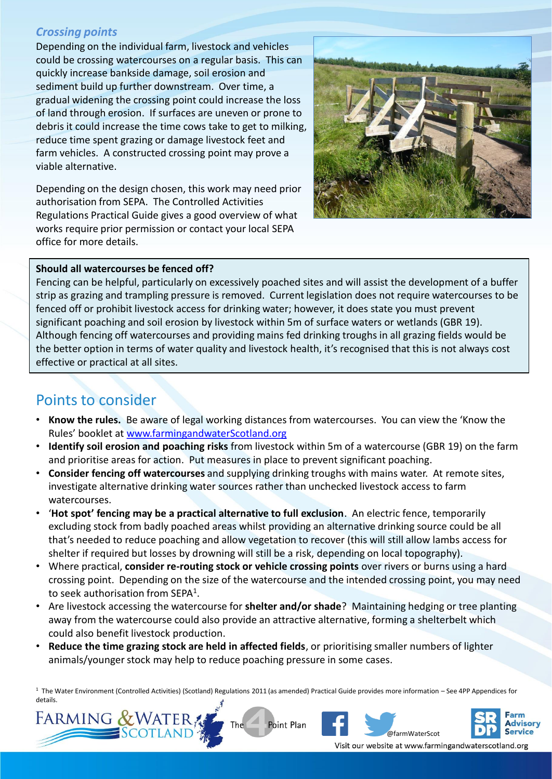### *Crossing points*

Depending on the individual farm, livestock and vehicles could be crossing watercourses on a regular basis. This can quickly increase bankside damage, soil erosion and sediment build up further downstream. Over time, a gradual widening the crossing point could increase the loss of land through erosion. If surfaces are uneven or prone to debris it could increase the time cows take to get to milking, reduce time spent grazing or damage livestock feet and farm vehicles. A constructed crossing point may prove a viable alternative.

Depending on the design chosen, this work may need prior authorisation from SEPA. The Controlled Activities Regulations Practical Guide gives a good overview of what works require prior permission or contact your local SEPA office for more details.



#### **Should all watercourses be fenced off?**

Fencing can be helpful, particularly on excessively poached sites and will assist the development of a buffer strip as grazing and trampling pressure is removed. Current legislation does not require watercourses to be fenced off or prohibit livestock access for drinking water; however, it does state you must prevent significant poaching and soil erosion by livestock within 5m of surface waters or wetlands (GBR 19). Although fencing off watercourses and providing mains fed drinking troughs in all grazing fields would be the better option in terms of water quality and livestock health, it's recognised that this is not always cost effective or practical at all sites.

## Points to consider

- **Know the rules.** Be aware of legal working distances from watercourses. You can view the 'Know the Rules' booklet at [www.farmingandwaterScotland.org](http://www.farmingandwaterscotland.org/)
- **Identify soil erosion and poaching risks** from livestock within 5m of a watercourse (GBR 19) on the farm and prioritise areas for action. Put measures in place to prevent significant poaching.
- **Consider fencing off watercourses** and supplying drinking troughs with mains water. At remote sites, investigate alternative drinking water sources rather than unchecked livestock access to farm watercourses.
- '**Hot spot' fencing may be a practical alternative to full exclusion**. An electric fence, temporarily excluding stock from badly poached areas whilst providing an alternative drinking source could be all that's needed to reduce poaching and allow vegetation to recover (this will still allow lambs access for shelter if required but losses by drowning will still be a risk, depending on local topography).
- Where practical, **consider re-routing stock or vehicle crossing points** over rivers or burns using a hard crossing point. Depending on the size of the watercourse and the intended crossing point, you may need to seek authorisation from SEPA<sup>1</sup>.
- Are livestock accessing the watercourse for **shelter and/or shade**? Maintaining hedging or tree planting away from the watercourse could also provide an attractive alternative, forming a shelterbelt which could also benefit livestock production.
- **Reduce the time grazing stock are held in affected fields**, or prioritising smaller numbers of lighter animals/younger stock may help to reduce poaching pressure in some cases.

<sup>1</sup> The Water Environment (Controlled Activities) (Scotland) Regulations 2011 (as amended) Practical Guide provides more information – See 4PP Appendices for details.









Visit our website at www.farmingandwaterscotland.org